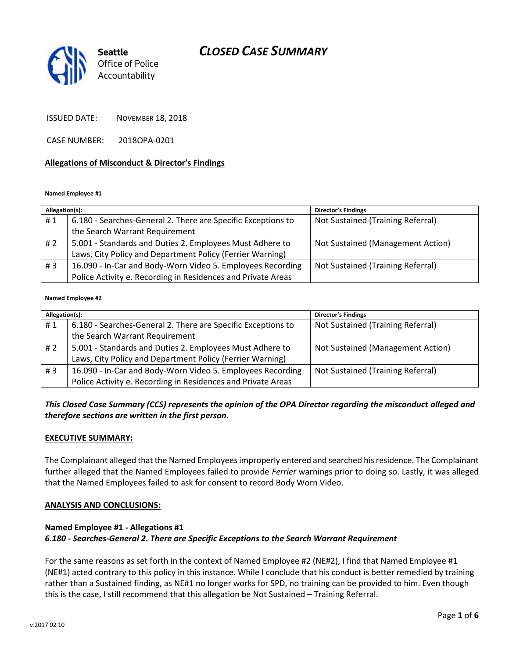

ISSUED DATE: NOVEMBER 18, 2018

CASE NUMBER: 2018OPA-0201

#### **Allegations of Misconduct & Director's Findings**

#### **Named Employee #1**

| Allegation(s): |                                                              | <b>Director's Findings</b>        |
|----------------|--------------------------------------------------------------|-----------------------------------|
| #1             | 6.180 - Searches-General 2. There are Specific Exceptions to | Not Sustained (Training Referral) |
|                | the Search Warrant Requirement                               |                                   |
| #2             | 5.001 - Standards and Duties 2. Employees Must Adhere to     | Not Sustained (Management Action) |
|                | Laws, City Policy and Department Policy (Ferrier Warning)    |                                   |
| #3             | 16.090 - In-Car and Body-Worn Video 5. Employees Recording   | Not Sustained (Training Referral) |
|                | Police Activity e. Recording in Residences and Private Areas |                                   |

#### **Named Employee #2**

| Allegation(s): |                                                              | Director's Findings               |
|----------------|--------------------------------------------------------------|-----------------------------------|
| #1             | 6.180 - Searches-General 2. There are Specific Exceptions to | Not Sustained (Training Referral) |
|                | the Search Warrant Requirement                               |                                   |
| # 2            | 5.001 - Standards and Duties 2. Employees Must Adhere to     | Not Sustained (Management Action) |
|                | Laws, City Policy and Department Policy (Ferrier Warning)    |                                   |
| #3             | 16.090 - In-Car and Body-Worn Video 5. Employees Recording   | Not Sustained (Training Referral) |
|                | Police Activity e. Recording in Residences and Private Areas |                                   |

## *This Closed Case Summary (CCS) represents the opinion of the OPA Director regarding the misconduct alleged and therefore sections are written in the first person.*

#### **EXECUTIVE SUMMARY:**

The Complainant alleged that the Named Employees improperly entered and searched his residence. The Complainant further alleged that the Named Employees failed to provide *Ferrier* warnings prior to doing so. Lastly, it was alleged that the Named Employees failed to ask for consent to record Body Worn Video.

#### **ANALYSIS AND CONCLUSIONS:**

## **Named Employee #1 - Allegations #1** *6.180 - Searches-General 2. There are Specific Exceptions to the Search Warrant Requirement*

For the same reasons as set forth in the context of Named Employee #2 (NE#2), I find that Named Employee #1 (NE#1) acted contrary to this policy in this instance. While I conclude that his conduct is better remedied by training rather than a Sustained finding, as NE#1 no longer works for SPD, no training can be provided to him. Even though this is the case, I still recommend that this allegation be Not Sustained – Training Referral.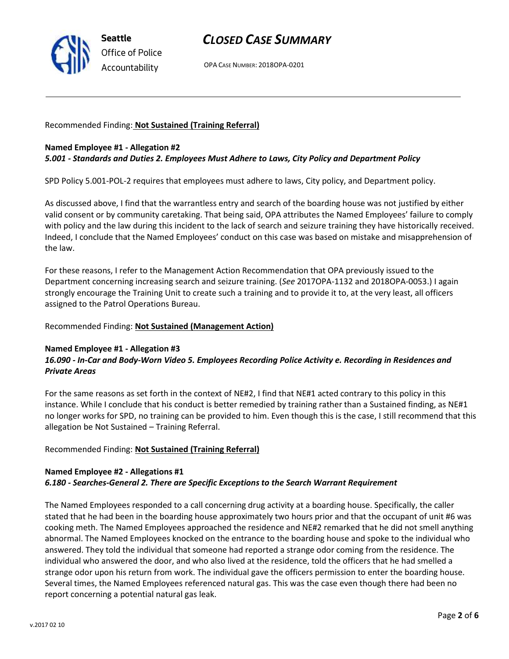

OPA CASE NUMBER: 2018OPA-0201

### Recommended Finding: **Not Sustained (Training Referral)**

### **Named Employee #1 - Allegation #2** *5.001 - Standards and Duties 2. Employees Must Adhere to Laws, City Policy and Department Policy*

SPD Policy 5.001-POL-2 requires that employees must adhere to laws, City policy, and Department policy.

As discussed above, I find that the warrantless entry and search of the boarding house was not justified by either valid consent or by community caretaking. That being said, OPA attributes the Named Employees' failure to comply with policy and the law during this incident to the lack of search and seizure training they have historically received. Indeed, I conclude that the Named Employees' conduct on this case was based on mistake and misapprehension of the law.

For these reasons, I refer to the Management Action Recommendation that OPA previously issued to the Department concerning increasing search and seizure training. (*See* 2017OPA-1132 and 2018OPA-0053.) I again strongly encourage the Training Unit to create such a training and to provide it to, at the very least, all officers assigned to the Patrol Operations Bureau.

### Recommended Finding: **Not Sustained (Management Action)**

#### **Named Employee #1 - Allegation #3**

## *16.090 - In-Car and Body-Worn Video 5. Employees Recording Police Activity e. Recording in Residences and Private Areas*

For the same reasons as set forth in the context of NE#2, I find that NE#1 acted contrary to this policy in this instance. While I conclude that his conduct is better remedied by training rather than a Sustained finding, as NE#1 no longer works for SPD, no training can be provided to him. Even though this is the case, I still recommend that this allegation be Not Sustained – Training Referral.

### Recommended Finding: **Not Sustained (Training Referral)**

## **Named Employee #2 - Allegations #1** *6.180 - Searches-General 2. There are Specific Exceptions to the Search Warrant Requirement*

The Named Employees responded to a call concerning drug activity at a boarding house. Specifically, the caller stated that he had been in the boarding house approximately two hours prior and that the occupant of unit #6 was cooking meth. The Named Employees approached the residence and NE#2 remarked that he did not smell anything abnormal. The Named Employees knocked on the entrance to the boarding house and spoke to the individual who answered. They told the individual that someone had reported a strange odor coming from the residence. The individual who answered the door, and who also lived at the residence, told the officers that he had smelled a strange odor upon his return from work. The individual gave the officers permission to enter the boarding house. Several times, the Named Employees referenced natural gas. This was the case even though there had been no report concerning a potential natural gas leak.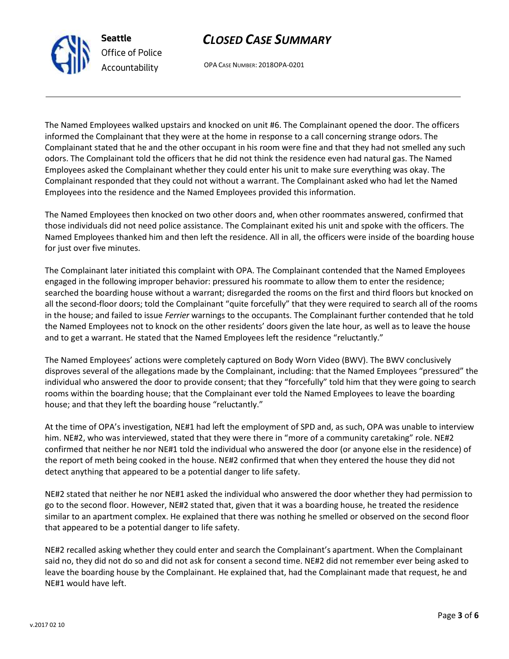OPA CASE NUMBER: 2018OPA-0201

The Named Employees walked upstairs and knocked on unit #6. The Complainant opened the door. The officers informed the Complainant that they were at the home in response to a call concerning strange odors. The Complainant stated that he and the other occupant in his room were fine and that they had not smelled any such odors. The Complainant told the officers that he did not think the residence even had natural gas. The Named Employees asked the Complainant whether they could enter his unit to make sure everything was okay. The Complainant responded that they could not without a warrant. The Complainant asked who had let the Named Employees into the residence and the Named Employees provided this information.

The Named Employees then knocked on two other doors and, when other roommates answered, confirmed that those individuals did not need police assistance. The Complainant exited his unit and spoke with the officers. The Named Employees thanked him and then left the residence. All in all, the officers were inside of the boarding house for just over five minutes.

The Complainant later initiated this complaint with OPA. The Complainant contended that the Named Employees engaged in the following improper behavior: pressured his roommate to allow them to enter the residence; searched the boarding house without a warrant; disregarded the rooms on the first and third floors but knocked on all the second-floor doors; told the Complainant "quite forcefully" that they were required to search all of the rooms in the house; and failed to issue *Ferrier* warnings to the occupants. The Complainant further contended that he told the Named Employees not to knock on the other residents' doors given the late hour, as well as to leave the house and to get a warrant. He stated that the Named Employees left the residence "reluctantly."

The Named Employees' actions were completely captured on Body Worn Video (BWV). The BWV conclusively disproves several of the allegations made by the Complainant, including: that the Named Employees "pressured" the individual who answered the door to provide consent; that they "forcefully" told him that they were going to search rooms within the boarding house; that the Complainant ever told the Named Employees to leave the boarding house; and that they left the boarding house "reluctantly."

At the time of OPA's investigation, NE#1 had left the employment of SPD and, as such, OPA was unable to interview him. NE#2, who was interviewed, stated that they were there in "more of a community caretaking" role. NE#2 confirmed that neither he nor NE#1 told the individual who answered the door (or anyone else in the residence) of the report of meth being cooked in the house. NE#2 confirmed that when they entered the house they did not detect anything that appeared to be a potential danger to life safety.

NE#2 stated that neither he nor NE#1 asked the individual who answered the door whether they had permission to go to the second floor. However, NE#2 stated that, given that it was a boarding house, he treated the residence similar to an apartment complex. He explained that there was nothing he smelled or observed on the second floor that appeared to be a potential danger to life safety.

NE#2 recalled asking whether they could enter and search the Complainant's apartment. When the Complainant said no, they did not do so and did not ask for consent a second time. NE#2 did not remember ever being asked to leave the boarding house by the Complainant. He explained that, had the Complainant made that request, he and NE#1 would have left.



**Seattle**

*Office of Police Accountability*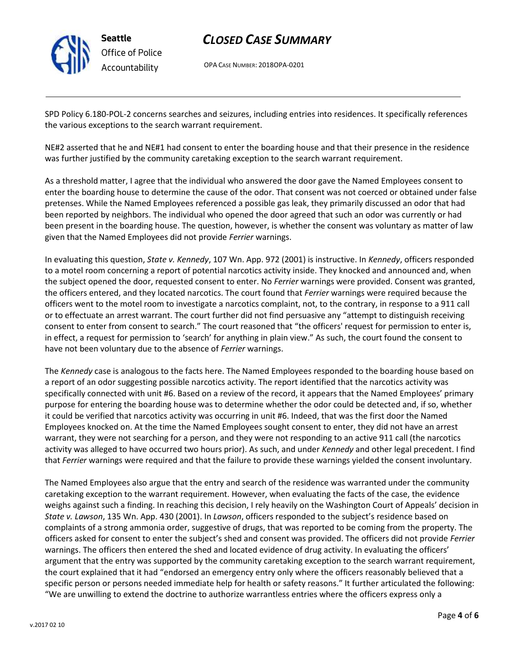

**Seattle** *Office of Police Accountability*

## *CLOSED CASE SUMMARY*

OPA CASE NUMBER: 2018OPA-0201

SPD Policy 6.180-POL-2 concerns searches and seizures, including entries into residences. It specifically references the various exceptions to the search warrant requirement.

NE#2 asserted that he and NE#1 had consent to enter the boarding house and that their presence in the residence was further justified by the community caretaking exception to the search warrant requirement.

As a threshold matter, I agree that the individual who answered the door gave the Named Employees consent to enter the boarding house to determine the cause of the odor. That consent was not coerced or obtained under false pretenses. While the Named Employees referenced a possible gas leak, they primarily discussed an odor that had been reported by neighbors. The individual who opened the door agreed that such an odor was currently or had been present in the boarding house. The question, however, is whether the consent was voluntary as matter of law given that the Named Employees did not provide *Ferrier* warnings.

In evaluating this question, *State v. Kennedy*, 107 Wn. App. 972 (2001) is instructive. In *Kennedy*, officers responded to a motel room concerning a report of potential narcotics activity inside. They knocked and announced and, when the subject opened the door, requested consent to enter. No *Ferrier* warnings were provided. Consent was granted, the officers entered, and they located narcotics. The court found that *Ferrier* warnings were required because the officers went to the motel room to investigate a narcotics complaint, not, to the contrary, in response to a 911 call or to effectuate an arrest warrant. The court further did not find persuasive any "attempt to distinguish receiving consent to enter from consent to search." The court reasoned that "the officers' request for permission to enter is, in effect, a request for permission to 'search' for anything in plain view." As such, the court found the consent to have not been voluntary due to the absence of *Ferrier* warnings.

The *Kennedy* case is analogous to the facts here. The Named Employees responded to the boarding house based on a report of an odor suggesting possible narcotics activity. The report identified that the narcotics activity was specifically connected with unit #6. Based on a review of the record, it appears that the Named Employees' primary purpose for entering the boarding house was to determine whether the odor could be detected and, if so, whether it could be verified that narcotics activity was occurring in unit #6. Indeed, that was the first door the Named Employees knocked on. At the time the Named Employees sought consent to enter, they did not have an arrest warrant, they were not searching for a person, and they were not responding to an active 911 call (the narcotics activity was alleged to have occurred two hours prior). As such, and under *Kennedy* and other legal precedent. I find that *Ferrier* warnings were required and that the failure to provide these warnings yielded the consent involuntary.

The Named Employees also argue that the entry and search of the residence was warranted under the community caretaking exception to the warrant requirement. However, when evaluating the facts of the case, the evidence weighs against such a finding. In reaching this decision, I rely heavily on the Washington Court of Appeals' decision in *State v. Lawson*, 135 Wn. App. 430 (2001). In *Lawson*, officers responded to the subject's residence based on complaints of a strong ammonia order, suggestive of drugs, that was reported to be coming from the property. The officers asked for consent to enter the subject's shed and consent was provided. The officers did not provide *Ferrier* warnings. The officers then entered the shed and located evidence of drug activity. In evaluating the officers' argument that the entry was supported by the community caretaking exception to the search warrant requirement, the court explained that it had "endorsed an emergency entry only where the officers reasonably believed that a specific person or persons needed immediate help for health or safety reasons." It further articulated the following: "We are unwilling to extend the doctrine to authorize warrantless entries where the officers express only a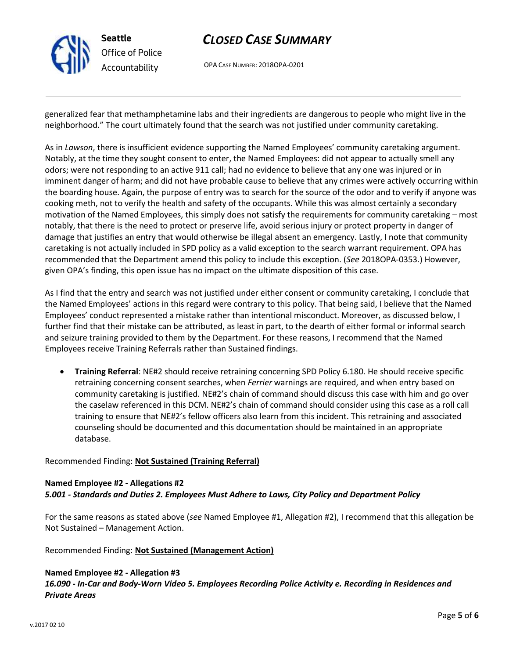

OPA CASE NUMBER: 2018OPA-0201

generalized fear that methamphetamine labs and their ingredients are dangerous to people who might live in the neighborhood." The court ultimately found that the search was not justified under community caretaking.

As in *Lawson*, there is insufficient evidence supporting the Named Employees' community caretaking argument. Notably, at the time they sought consent to enter, the Named Employees: did not appear to actually smell any odors; were not responding to an active 911 call; had no evidence to believe that any one was injured or in imminent danger of harm; and did not have probable cause to believe that any crimes were actively occurring within the boarding house. Again, the purpose of entry was to search for the source of the odor and to verify if anyone was cooking meth, not to verify the health and safety of the occupants. While this was almost certainly a secondary motivation of the Named Employees, this simply does not satisfy the requirements for community caretaking – most notably, that there is the need to protect or preserve life, avoid serious injury or protect property in danger of damage that justifies an entry that would otherwise be illegal absent an emergency. Lastly, I note that community caretaking is not actually included in SPD policy as a valid exception to the search warrant requirement. OPA has recommended that the Department amend this policy to include this exception. (*See* 2018OPA-0353.) However, given OPA's finding, this open issue has no impact on the ultimate disposition of this case.

As I find that the entry and search was not justified under either consent or community caretaking, I conclude that the Named Employees' actions in this regard were contrary to this policy. That being said, I believe that the Named Employees' conduct represented a mistake rather than intentional misconduct. Moreover, as discussed below, I further find that their mistake can be attributed, as least in part, to the dearth of either formal or informal search and seizure training provided to them by the Department. For these reasons, I recommend that the Named Employees receive Training Referrals rather than Sustained findings.

• **Training Referral**: NE#2 should receive retraining concerning SPD Policy 6.180. He should receive specific retraining concerning consent searches, when *Ferrier* warnings are required, and when entry based on community caretaking is justified. NE#2's chain of command should discuss this case with him and go over the caselaw referenced in this DCM. NE#2's chain of command should consider using this case as a roll call training to ensure that NE#2's fellow officers also learn from this incident. This retraining and associated counseling should be documented and this documentation should be maintained in an appropriate database.

### Recommended Finding: **Not Sustained (Training Referral)**

### **Named Employee #2 - Allegations #2** *5.001 - Standards and Duties 2. Employees Must Adhere to Laws, City Policy and Department Policy*

For the same reasons as stated above (*see* Named Employee #1, Allegation #2), I recommend that this allegation be Not Sustained – Management Action.

Recommended Finding: **Not Sustained (Management Action)**

## **Named Employee #2 - Allegation #3**

*16.090 - In-Car and Body-Worn Video 5. Employees Recording Police Activity e. Recording in Residences and Private Areas*